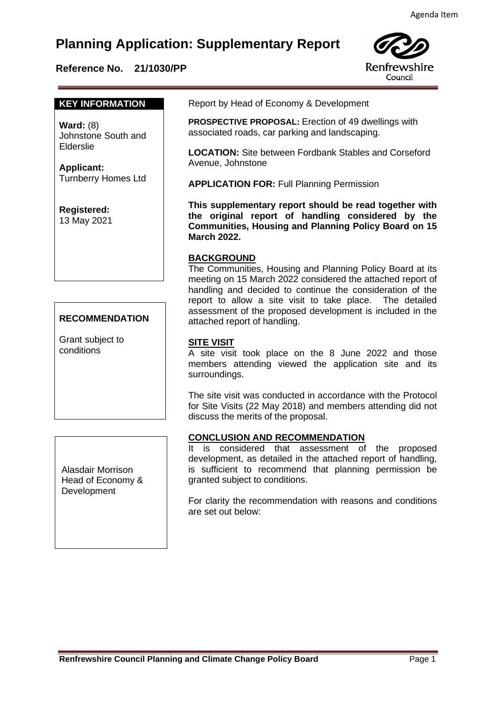# **Planning Application: Supplementary Report**

## **Reference No. 21/1030/PP**



#### **KEY INFORMATION**

**Ward:** (8) Johnstone South and Elderslie

**Applicant:** Turnberry Homes Ltd

**Registered:**  13 May 2021

## **RECOMMENDATION**

Grant subject to conditions

Alasdair Morrison Head of Economy & **Development** 

Report by Head of Economy & Development

 **PROSPECTIVE PROPOSAL:** Erection of 49 dwellings with associated roads, car parking and landscaping.

**LOCATION:** Site between Fordbank Stables and Corseford Avenue, Johnstone

**APPLICATION FOR:** Full Planning Permission

**This supplementary report should be read together with the original report of handling considered by the Communities, Housing and Planning Policy Board on 15 March 2022.**

### **BACKGROUND**

The Communities, Housing and Planning Policy Board at its meeting on 15 March 2022 considered the attached report of handling and decided to continue the consideration of the report to allow a site visit to take place. The detailed assessment of the proposed development is included in the attached report of handling.

### **SITE VISIT**

A site visit took place on the 8 June 2022 and those members attending viewed the application site and its surroundings.

The site visit was conducted in accordance with the Protocol for Site Visits (22 May 2018) and members attending did not discuss the merits of the proposal.

#### **CONCLUSION AND RECOMMENDATION**

It is considered that assessment of the proposed development, as detailed in the attached report of handling, is sufficient to recommend that planning permission be granted subject to conditions.

For clarity the recommendation with reasons and conditions are set out below: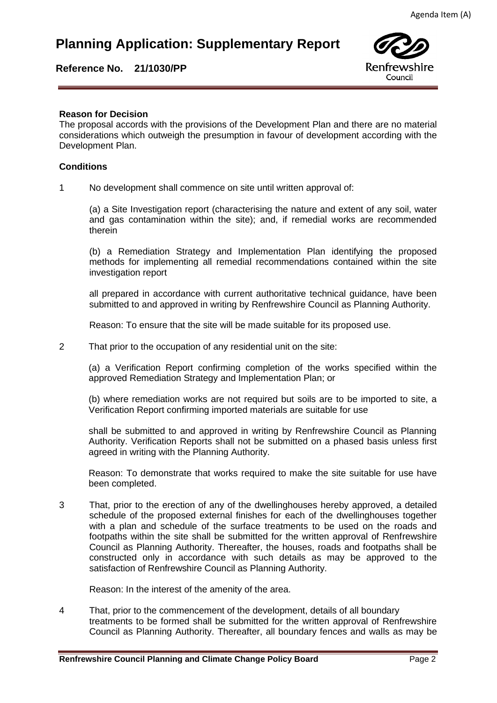## **Planning Application: Supplementary Report**

## **Reference No. 21/1030/PP**



#### **Reason for Decision**

**Reason for Decision**<br>The proposal accords with the provisions of the Development Plan and there are no material considerations which outweigh the presumption in favour of development according with the Development Plan.

#### **Conditions**

1 No development shall commence on site until written approval of:

(a) a Site Investigation report (characterising the nature and extent of any soil, water and gas contamination within the site); and, if remedial works are recommended therein

(b) a Remediation Strategy and Implementation Plan identifying the proposed methods for implementing all remedial recommendations contained within the site investigation report

all prepared in accordance with current authoritative technical guidance, have been submitted to and approved in writing by Renfrewshire Council as Planning Authority.

Reason: To ensure that the site will be made suitable for its proposed use.

2 That prior to the occupation of any residential unit on the site:

(a) a Verification Report confirming completion of the works specified within the approved Remediation Strategy and Implementation Plan; or

(b) where remediation works are not required but soils are to be imported to site, a Verification Report confirming imported materials are suitable for use

shall be submitted to and approved in writing by Renfrewshire Council as Planning Authority. Verification Reports shall not be submitted on a phased basis unless first agreed in writing with the Planning Authority.

Reason: To demonstrate that works required to make the site suitable for use have been completed.

3 That, prior to the erection of any of the dwellinghouses hereby approved, a detailed schedule of the proposed external finishes for each of the dwellinghouses together with a plan and schedule of the surface treatments to be used on the roads and footpaths within the site shall be submitted for the written approval of Renfrewshire Council as Planning Authority. Thereafter, the houses, roads and footpaths shall be constructed only in accordance with such details as may be approved to the satisfaction of Renfrewshire Council as Planning Authority.

Reason: In the interest of the amenity of the area.

4 That, prior to the commencement of the development, details of all boundary treatments to be formed shall be submitted for the written approval of Renfrewshire Council as Planning Authority. Thereafter, all boundary fences and walls as may be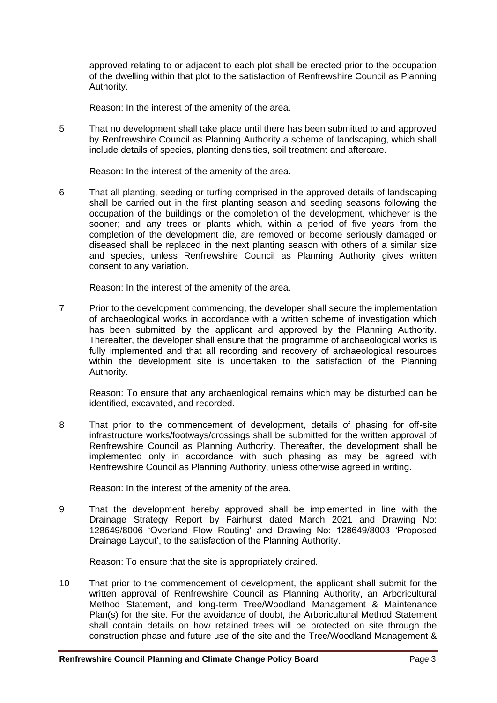approved relating to or adjacent to each plot shall be erected prior to the occupation of the dwelling within that plot to the satisfaction of Renfrewshire Council as Planning Authority.

Reason: In the interest of the amenity of the area.

5 That no development shall take place until there has been submitted to and approved by Renfrewshire Council as Planning Authority a scheme of landscaping, which shall include details of species, planting densities, soil treatment and aftercare.

Reason: In the interest of the amenity of the area.

6 That all planting, seeding or turfing comprised in the approved details of landscaping shall be carried out in the first planting season and seeding seasons following the occupation of the buildings or the completion of the development, whichever is the sooner; and any trees or plants which, within a period of five years from the completion of the development die, are removed or become seriously damaged or diseased shall be replaced in the next planting season with others of a similar size and species, unless Renfrewshire Council as Planning Authority gives written consent to any variation.

Reason: In the interest of the amenity of the area.

7 Prior to the development commencing, the developer shall secure the implementation of archaeological works in accordance with a written scheme of investigation which has been submitted by the applicant and approved by the Planning Authority. Thereafter, the developer shall ensure that the programme of archaeological works is fully implemented and that all recording and recovery of archaeological resources within the development site is undertaken to the satisfaction of the Planning Authority.

Reason: To ensure that any archaeological remains which may be disturbed can be identified, excavated, and recorded.

8 That prior to the commencement of development, details of phasing for off-site infrastructure works/footways/crossings shall be submitted for the written approval of Renfrewshire Council as Planning Authority. Thereafter, the development shall be implemented only in accordance with such phasing as may be agreed with Renfrewshire Council as Planning Authority, unless otherwise agreed in writing.

Reason: In the interest of the amenity of the area.

9 That the development hereby approved shall be implemented in line with the Drainage Strategy Report by Fairhurst dated March 2021 and Drawing No: 128649/8006 'Overland Flow Routing' and Drawing No: 128649/8003 'Proposed Drainage Layout', to the satisfaction of the Planning Authority.

Reason: To ensure that the site is appropriately drained.

10 That prior to the commencement of development, the applicant shall submit for the written approval of Renfrewshire Council as Planning Authority, an Arboricultural Method Statement, and long-term Tree/Woodland Management & Maintenance Plan(s) for the site. For the avoidance of doubt, the Arboricultural Method Statement shall contain details on how retained trees will be protected on site through the construction phase and future use of the site and the Tree/Woodland Management &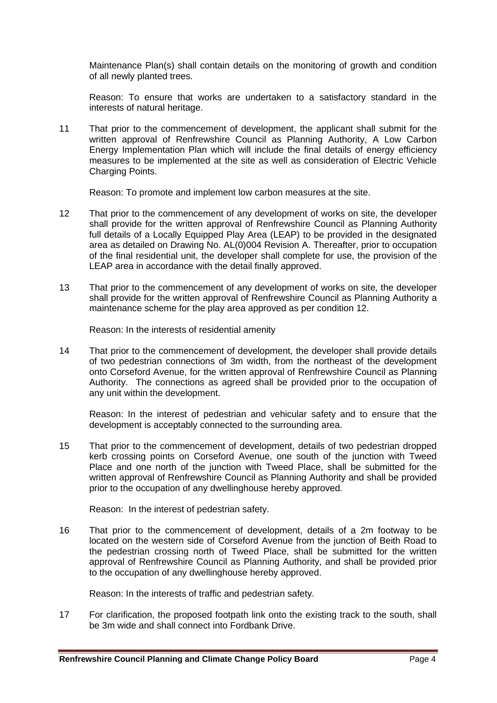Maintenance Plan(s) shall contain details on the monitoring of growth and condition of all newly planted trees.

Reason: To ensure that works are undertaken to a satisfactory standard in the interests of natural heritage.

11 That prior to the commencement of development, the applicant shall submit for the written approval of Renfrewshire Council as Planning Authority, A Low Carbon Energy Implementation Plan which will include the final details of energy efficiency measures to be implemented at the site as well as consideration of Electric Vehicle Charging Points.

Reason: To promote and implement low carbon measures at the site.

- 12 That prior to the commencement of any development of works on site, the developer shall provide for the written approval of Renfrewshire Council as Planning Authority full details of a Locally Equipped Play Area (LEAP) to be provided in the designated area as detailed on Drawing No. AL(0)004 Revision A. Thereafter, prior to occupation of the final residential unit, the developer shall complete for use, the provision of the LEAP area in accordance with the detail finally approved.
- 13 That prior to the commencement of any development of works on site, the developer shall provide for the written approval of Renfrewshire Council as Planning Authority a maintenance scheme for the play area approved as per condition 12.

Reason: In the interests of residential amenity

14 That prior to the commencement of development, the developer shall provide details of two pedestrian connections of 3m width, from the northeast of the development onto Corseford Avenue, for the written approval of Renfrewshire Council as Planning Authority. The connections as agreed shall be provided prior to the occupation of any unit within the development.

Reason: In the interest of pedestrian and vehicular safety and to ensure that the development is acceptably connected to the surrounding area.

15 That prior to the commencement of development, details of two pedestrian dropped kerb crossing points on Corseford Avenue, one south of the junction with Tweed Place and one north of the junction with Tweed Place, shall be submitted for the written approval of Renfrewshire Council as Planning Authority and shall be provided prior to the occupation of any dwellinghouse hereby approved.

Reason: In the interest of pedestrian safety.

16 That prior to the commencement of development, details of a 2m footway to be located on the western side of Corseford Avenue from the junction of Beith Road to the pedestrian crossing north of Tweed Place, shall be submitted for the written approval of Renfrewshire Council as Planning Authority, and shall be provided prior to the occupation of any dwellinghouse hereby approved.

Reason: In the interests of traffic and pedestrian safety.

17 For clarification, the proposed footpath link onto the existing track to the south, shall be 3m wide and shall connect into Fordbank Drive.